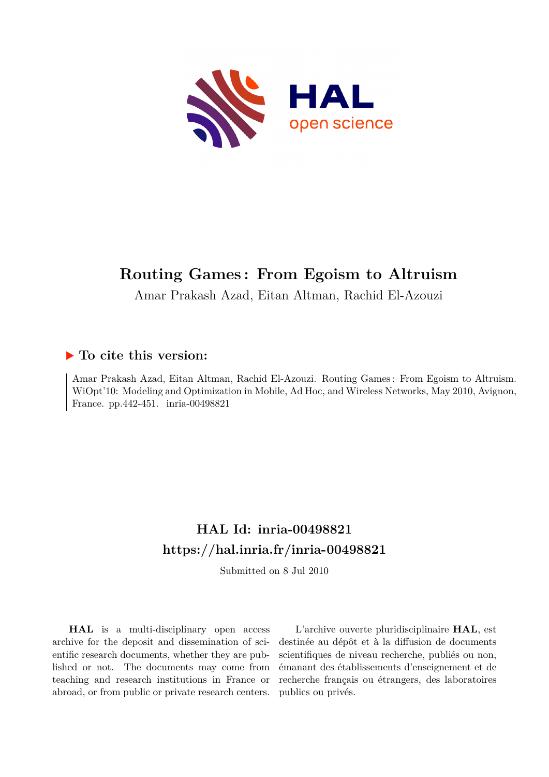

# **Routing Games : From Egoism to Altruism**

Amar Prakash Azad, Eitan Altman, Rachid El-Azouzi

# **To cite this version:**

Amar Prakash Azad, Eitan Altman, Rachid El-Azouzi. Routing Games : From Egoism to Altruism. WiOpt'10: Modeling and Optimization in Mobile, Ad Hoc, and Wireless Networks, May 2010, Avignon, France. pp.442-451. inria-00498821

# **HAL Id: inria-00498821 <https://hal.inria.fr/inria-00498821>**

Submitted on 8 Jul 2010

**HAL** is a multi-disciplinary open access archive for the deposit and dissemination of scientific research documents, whether they are published or not. The documents may come from teaching and research institutions in France or abroad, or from public or private research centers.

L'archive ouverte pluridisciplinaire **HAL**, est destinée au dépôt et à la diffusion de documents scientifiques de niveau recherche, publiés ou non, émanant des établissements d'enseignement et de recherche français ou étrangers, des laboratoires publics ou privés.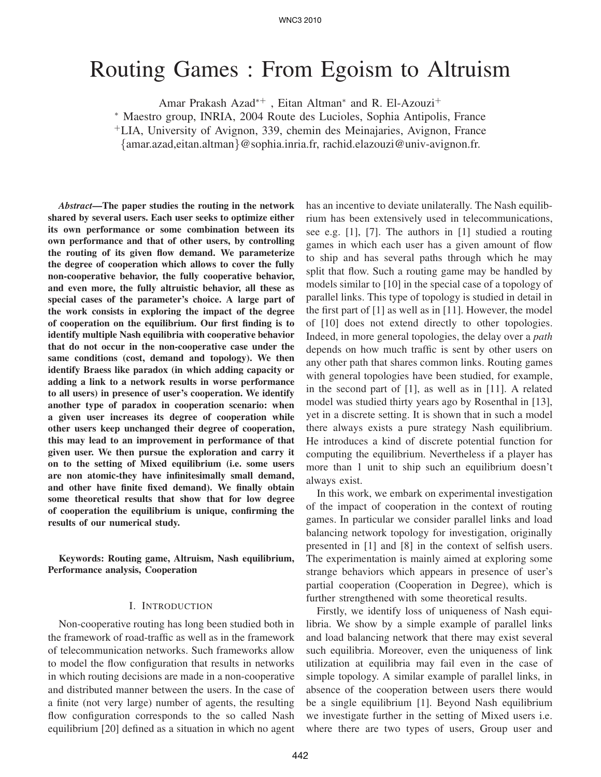# Routing Games : From Egoism to Altruism

Amar Prakash Azad<sup>∗</sup><sup>+</sup> , Eitan Altman<sup>∗</sup> and R. El-Azouzi<sup>+</sup>

<sup>∗</sup> Maestro group, INRIA, 2004 Route des Lucioles, Sophia Antipolis, France

<sup>+</sup>LIA, University of Avignon, 339, chemin des Meinajaries, Avignon, France

{amar.azad,eitan.altman}@sophia.inria.fr, rachid.elazouzi@univ-avignon.fr.

*Abstract***—The paper studies the routing in the network shared by several users. Each user seeks to optimize either its own performance or some combination between its own performance and that of other users, by controlling the routing of its given flow demand. We parameterize the degree of cooperation which allows to cover the fully non-cooperative behavior, the fully cooperative behavior, and even more, the fully altruistic behavior, all these as special cases of the parameter's choice. A large part of the work consists in exploring the impact of the degree of cooperation on the equilibrium. Our first finding is to identify multiple Nash equilibria with cooperative behavior that do not occur in the non-cooperative case under the same conditions (cost, demand and topology). We then identify Braess like paradox (in which adding capacity or adding a link to a network results in worse performance to all users) in presence of user's cooperation. We identify another type of paradox in cooperation scenario: when a given user increases its degree of cooperation while other users keep unchanged their degree of cooperation, this may lead to an improvement in performance of that given user. We then pursue the exploration and carry it on to the setting of Mixed equilibrium (i.e. some users are non atomic-they have infinitesimally small demand, and other have finite fixed demand). We finally obtain some theoretical results that show that for low degree of cooperation the equilibrium is unique, confirming the results of our numerical study.**

**Keywords: Routing game, Altruism, Nash equilibrium, Performance analysis, Cooperation**

#### I. INTRODUCTION

Non-cooperative routing has long been studied both in the framework of road-traffic as well as in the framework of telecommunication networks. Such frameworks allow to model the flow configuration that results in networks in which routing decisions are made in a non-cooperative and distributed manner between the users. In the case of a finite (not very large) number of agents, the resulting flow configuration corresponds to the so called Nash equilibrium [20] defined as a situation in which no agent has an incentive to deviate unilaterally. The Nash equilibrium has been extensively used in telecommunications, see e.g. [1], [7]. The authors in [1] studied a routing games in which each user has a given amount of flow to ship and has several paths through which he may split that flow. Such a routing game may be handled by models similar to [10] in the special case of a topology of parallel links. This type of topology is studied in detail in the first part of [1] as well as in [11]. However, the model of [10] does not extend directly to other topologies. Indeed, in more general topologies, the delay over a *path* depends on how much traffic is sent by other users on any other path that shares common links. Routing games with general topologies have been studied, for example, in the second part of [1], as well as in [11]. A related model was studied thirty years ago by Rosenthal in [13], yet in a discrete setting. It is shown that in such a model there always exists a pure strategy Nash equilibrium. He introduces a kind of discrete potential function for computing the equilibrium. Nevertheless if a player has more than 1 unit to ship such an equilibrium doesn't always exist.

In this work, we embark on experimental investigation of the impact of cooperation in the context of routing games. In particular we consider parallel links and load balancing network topology for investigation, originally presented in [1] and [8] in the context of selfish users. The experimentation is mainly aimed at exploring some strange behaviors which appears in presence of user's partial cooperation (Cooperation in Degree), which is further strengthened with some theoretical results.

Firstly, we identify loss of uniqueness of Nash equilibria. We show by a simple example of parallel links and load balancing network that there may exist several such equilibria. Moreover, even the uniqueness of link utilization at equilibria may fail even in the case of simple topology. A similar example of parallel links, in absence of the cooperation between users there would be a single equilibrium [1]. Beyond Nash equilibrium we investigate further in the setting of Mixed users i.e. where there are two types of users, Group user and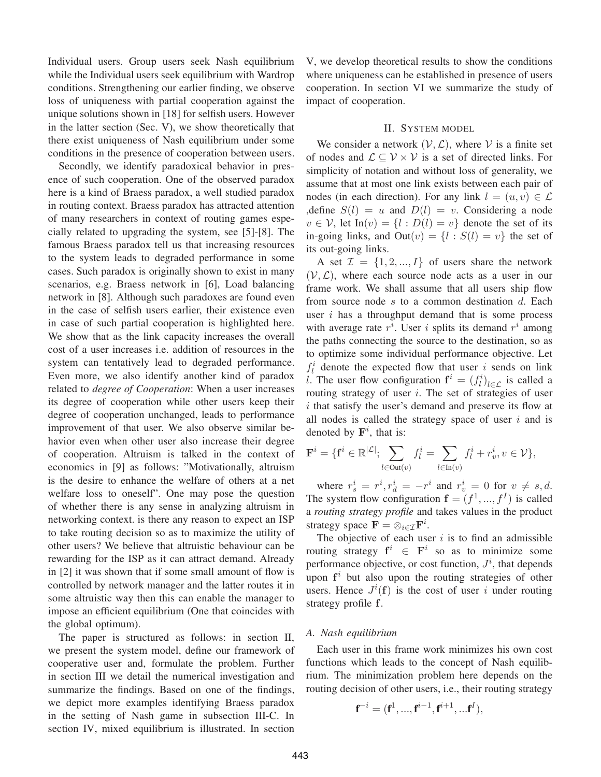Individual users. Group users seek Nash equilibrium while the Individual users seek equilibrium with Wardrop conditions. Strengthening our earlier finding, we observe loss of uniqueness with partial cooperation against the unique solutions shown in [18] for selfish users. However in the latter section (Sec. V), we show theoretically that there exist uniqueness of Nash equilibrium under some conditions in the presence of cooperation between users.

Secondly, we identify paradoxical behavior in presence of such cooperation. One of the observed paradox here is a kind of Braess paradox, a well studied paradox in routing context. Braess paradox has attracted attention of many researchers in context of routing games especially related to upgrading the system, see [5]-[8]. The famous Braess paradox tell us that increasing resources to the system leads to degraded performance in some cases. Such paradox is originally shown to exist in many scenarios, e.g. Braess network in [6], Load balancing network in [8]. Although such paradoxes are found even in the case of selfish users earlier, their existence even in case of such partial cooperation is highlighted here. We show that as the link capacity increases the overall cost of a user increases i.e. addition of resources in the system can tentatively lead to degraded performance. Even more, we also identify another kind of paradox related to *degree of Cooperation*: When a user increases its degree of cooperation while other users keep their degree of cooperation unchanged, leads to performance improvement of that user. We also observe similar behavior even when other user also increase their degree of cooperation. Altruism is talked in the context of economics in [9] as follows: "Motivationally, altruism is the desire to enhance the welfare of others at a net welfare loss to oneself". One may pose the question of whether there is any sense in analyzing altruism in networking context. is there any reason to expect an ISP to take routing decision so as to maximize the utility of other users? We believe that altruistic behaviour can be rewarding for the ISP as it can attract demand. Already in [2] it was shown that if some small amount of flow is controlled by network manager and the latter routes it in some altruistic way then this can enable the manager to impose an efficient equilibrium (One that coincides with the global optimum).

The paper is structured as follows: in section II, we present the system model, define our framework of cooperative user and, formulate the problem. Further in section III we detail the numerical investigation and summarize the findings. Based on one of the findings, we depict more examples identifying Braess paradox in the setting of Nash game in subsection III-C. In section IV, mixed equilibrium is illustrated. In section V, we develop theoretical results to show the conditions where uniqueness can be established in presence of users cooperation. In section VI we summarize the study of impact of cooperation.

## II. SYSTEM MODEL

We consider a network  $(V, \mathcal{L})$ , where V is a finite set of nodes and  $\mathcal{L} \subset \mathcal{V} \times \mathcal{V}$  is a set of directed links. For simplicity of notation and without loss of generality, we assume that at most one link exists between each pair of nodes (in each direction). For any link  $l = (u, v) \in \mathcal{L}$ , define  $S(l) = u$  and  $D(l) = v$ . Considering a node  $v \in V$ , let In $(v) = \{l : D(l) = v\}$  denote the set of its in-going links, and  $Out(v) = \{l : S(l) = v\}$  the set of its out-going links.

A set  $\mathcal{I} = \{1, 2, ..., I\}$  of users share the network  $(V, \mathcal{L})$ , where each source node acts as a user in our frame work. We shall assume that all users ship flow from source node  $s$  to a common destination  $d$ . Each user  $i$  has a throughput demand that is some process with average rate  $r^i$ . User i splits its demand  $r^i$  among the paths connecting the source to the destination, so as to optimize some individual performance objective. Let  $f_l^i$  denote the expected flow that user i sends on link l. The user flow configuration  $f^{i} = (f^{i}_{l})_{l \in \mathcal{L}}$  is called a routing strategy of user  $i$ . The set of strategies of user i that satisfy the user's demand and preserve its flow at all nodes is called the strategy space of user  $i$  and is denoted by  $\mathbf{F}^i$ , that is:

$$
\mathbf{F}^i = \{ \mathbf{f}^i \in \mathbb{R}^{|\mathcal{L}|}; \sum_{l \in \text{Out}(v)} f^i_l = \sum_{l \in \text{In}(v)} f^i_l + r^i_v, v \in \mathcal{V} \},
$$

where  $r_s^i = r^i, r_d^i = -r^i$  and  $r_v^i = 0$  for  $v \neq s, d$ . The system flow configuration  $f = (f^1, ..., f^I)$  is called a *routing strategy profile* and takes values in the product strategy space  $\mathbf{F} = \otimes_{i \in \mathcal{I}} \mathbf{F}^i$ .

The objective of each user  $i$  is to find an admissible routing strategy  $f^i \in F^i$  so as to minimize some performance objective, or cost function,  $J^i$ , that depends upon  $f^i$  but also upon the routing strategies of other users. Hence  $J^{i}(\mathbf{f})$  is the cost of user i under routing strategy profile f.

#### *A. Nash equilibrium*

Each user in this frame work minimizes his own cost functions which leads to the concept of Nash equilibrium. The minimization problem here depends on the routing decision of other users, i.e., their routing strategy

$$
\mathbf{f}^{-i} = (\mathbf{f}^1, ..., \mathbf{f}^{i-1}, \mathbf{f}^{i+1}, ... \mathbf{f}^I),
$$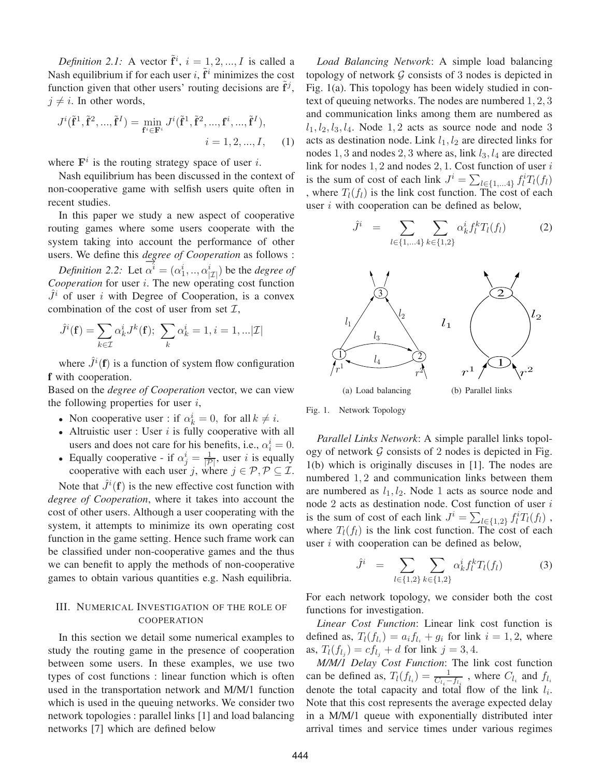*Definition 2.1:* A vector  $\tilde{f}^{i}$ ,  $i = 1, 2, ..., I$  is called a Nash equilibrium if for each user i,  $\tilde{f}^i$  minimizes the cost function given that other users' routing decisions are  $f^j$ ,  $j \neq i$ . In other words,

$$
J^{i}(\tilde{\mathbf{f}}^{1}, \tilde{\mathbf{f}}^{2}, ..., \tilde{\mathbf{f}}^{I}) = \min_{\mathbf{f}^{i} \in \mathbf{F}^{i}} J^{i}(\tilde{\mathbf{f}}^{1}, \tilde{\mathbf{f}}^{2}, ..., \mathbf{f}^{i}, ..., \tilde{\mathbf{f}}^{I}),
$$
  
 $i = 1, 2, ..., I,$  (1)

where  $F^i$  is the routing strategy space of user i.

Nash equilibrium has been discussed in the context of non-cooperative game with selfish users quite often in recent studies.

In this paper we study a new aspect of cooperative routing games where some users cooperate with the system taking into account the performance of other users. We define this *degree of Cooperation* as follows :

*Definition 2.2:* Let  $\overline{\alpha}^i = (\alpha_1^i, ..., \alpha_{|\mathcal{I}|}^i)$  be the *degree of Cooperation* for user i. The new operating cost function  $J<sup>i</sup>$  of user i with Degree of Cooperation, is a convex combination of the cost of user from set  $\mathcal{I}$ ,

$$
\hat{J}^{i}(\mathbf{f}) = \sum_{k \in \mathcal{I}} \alpha_{k}^{i} J^{k}(\mathbf{f}); \ \sum_{k} \alpha_{k}^{i} = 1, i = 1, ...|\mathcal{I}|
$$

where  $\hat{J}^i(\mathbf{f})$  is a function of system flow configuration **f** with cooperation.

Based on the *degree of Cooperation* vector, we can view the following properties for user  $i$ ,

- Non cooperative user : if  $\alpha_k^i = 0$ , for all  $k \neq i$ .
- Altruistic user : User  $i$  is fully cooperative with all users and does not care for his benefits, i.e.,  $\alpha_i^i = 0$ .
- Equally cooperative if  $\alpha_j^i = \frac{1}{|\mathcal{P}|}$ , user *i* is equally cooperative with each user j, where  $j \in \mathcal{P}, \mathcal{P} \subseteq \mathcal{I}$ .

Note that  $\hat{J}^{i}(\mathbf{f})$  is the new effective cost function with *degree of Cooperation*, where it takes into account the cost of other users. Although a user cooperating with the system, it attempts to minimize its own operating cost function in the game setting. Hence such frame work can be classified under non-cooperative games and the thus we can benefit to apply the methods of non-cooperative games to obtain various quantities e.g. Nash equilibria.

# III. NUMERICAL INVESTIGATION OF THE ROLE OF COOPERATION

In this section we detail some numerical examples to study the routing game in the presence of cooperation between some users. In these examples, we use two types of cost functions : linear function which is often used in the transportation network and M/M/1 function which is used in the queuing networks. We consider two network topologies : parallel links [1] and load balancing networks [7] which are defined below

*Load Balancing Network*: A simple load balancing topology of network  $G$  consists of 3 nodes is depicted in Fig. 1(a). This topology has been widely studied in context of queuing networks. The nodes are numbered 1, 2, 3 and communication links among them are numbered as  $l_1, l_2, l_3, l_4$ . Node 1, 2 acts as source node and node 3 acts as destination node. Link  $l_1$ ,  $l_2$  are directed links for nodes 1, 3 and nodes 2, 3 where as, link  $l_3$ ,  $l_4$  are directed link for nodes  $1, 2$  and nodes  $2, 1$ . Cost function of user  $i$ is the sum of cost of each link  $J^i = \sum_{l \in \{1,...4\}} f_l^i T_l(f_l)$ , where  $T_l(f_l)$  is the link cost function. The cost of each user  $i$  with cooperation can be defined as below,

$$
\hat{J}^{i} = \sum_{l \in \{1,...4\}} \sum_{k \in \{1,2\}} \alpha^{i}_{k} f^{k}_{l} T_{l}(f_{l}) \tag{2}
$$



Fig. 1. Network Topology

*Parallel Links Network*: A simple parallel links topology of network  $G$  consists of 2 nodes is depicted in Fig. 1(b) which is originally discuses in [1]. The nodes are numbered 1, 2 and communication links between them are numbered as  $l_1$ ,  $l_2$ . Node 1 acts as source node and node 2 acts as destination node. Cost function of user  $i$ is the sum of cost of each link  $J^i = \sum_{l \in \{1,2\}} f_l^i T_l(f_l)$ , where  $T_l(f_l)$  is the link cost function. The cost of each user  $i$  with cooperation can be defined as below,

$$
\hat{J}^{i} = \sum_{l \in \{1,2\}} \sum_{k \in \{1,2\}} \alpha_{k}^{i} f_{l}^{k} T_{l}(f_{l}) \tag{3}
$$

For each network topology, we consider both the cost functions for investigation.

*Linear Cost Function*: Linear link cost function is defined as,  $T_l(f_{l_i}) = a_i f_{l_i} + g_i$  for link  $i = 1, 2$ , where as,  $T_l(f_{l_i}) = cf_{l_i} + d$  for link  $j = 3, 4$ .

*M/M/1 Delay Cost Function*: The link cost function can be defined as,  $T_l(f_{l_i}) = \frac{1}{C_{l_i}-f_{l_i}}$ , where  $C_{l_i}$  and  $f_{l_i}$ denote the total capacity and total flow of the link  $l_i$ . Note that this cost represents the average expected delay in a M/M/1 queue with exponentially distributed inter arrival times and service times under various regimes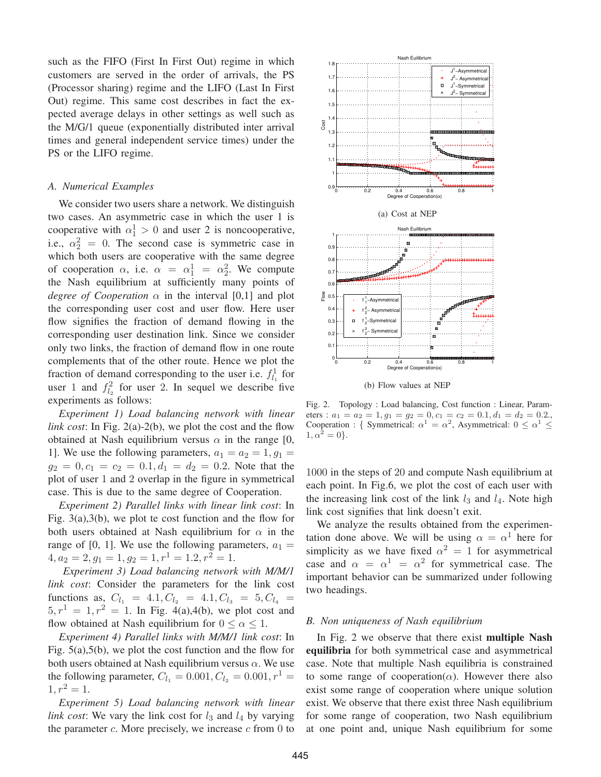such as the FIFO (First In First Out) regime in which customers are served in the order of arrivals, the PS (Processor sharing) regime and the LIFO (Last In First Out) regime. This same cost describes in fact the expected average delays in other settings as well such as the M/G/1 queue (exponentially distributed inter arrival times and general independent service times) under the PS or the LIFO regime.

#### *A. Numerical Examples*

We consider two users share a network. We distinguish two cases. An asymmetric case in which the user 1 is cooperative with  $\alpha_1^1 > 0$  and user 2 is noncooperative, i.e.,  $\alpha_2^2 = 0$ . The second case is symmetric case in which both users are cooperative with the same degree of cooperation  $\alpha$ , i.e.  $\alpha = \alpha_1^1 = \alpha_2^2$ . We compute the Nash equilibrium at sufficiently many points of *degree of Cooperation*  $\alpha$  in the interval [0,1] and plot the corresponding user cost and user flow. Here user flow signifies the fraction of demand flowing in the corresponding user destination link. Since we consider only two links, the fraction of demand flow in one route complements that of the other route. Hence we plot the fraction of demand corresponding to the user i.e.  $f_{l_1}^1$  for user 1 and  $f_{l_2}^2$  for user 2. In sequel we describe five experiments as follows:

*Experiment 1) Load balancing network with linear link cost*: In Fig. 2(a)-2(b), we plot the cost and the flow obtained at Nash equilibrium versus  $\alpha$  in the range [0, 1]. We use the following parameters,  $a_1 = a_2 = 1, g_1 =$  $g_2 = 0, c_1 = c_2 = 0.1, d_1 = d_2 = 0.2$ . Note that the plot of user 1 and 2 overlap in the figure in symmetrical case. This is due to the same degree of Cooperation.

*Experiment 2) Parallel links with linear link cost*: In Fig. 3(a),3(b), we plot te cost function and the flow for both users obtained at Nash equilibrium for  $\alpha$  in the range of [0, 1]. We use the following parameters,  $a_1 =$  $4, a_2 = 2, g_1 = 1, g_2 = 1, r^1 = 1.2, r^2 = 1.$ 

*Experiment 3) Load balancing network with M/M/1 link cost*: Consider the parameters for the link cost functions as,  $C_{l_1} = 4.1, C_{l_2} = 4.1, C_{l_3} = 5, C_{l_4} =$  $5, r<sup>1</sup> = 1, r<sup>2</sup> = 1$ . In Fig. 4(a),4(b), we plot cost and flow obtained at Nash equilibrium for  $0 \le \alpha \le 1$ .

*Experiment 4) Parallel links with M/M/1 link cost*: In Fig.  $5(a)$ ,  $5(b)$ , we plot the cost function and the flow for both users obtained at Nash equilibrium versus  $\alpha$ . We use the following parameter,  $C_{l_1} = 0.001, C_{l_2} = 0.001, r^1 =$  $1, r^2 = 1.$ 

*Experiment 5) Load balancing network with linear link cost*: We vary the link cost for  $l_3$  and  $l_4$  by varying the parameter  $c$ . More precisely, we increase  $c$  from 0 to



Fig. 2. Topology : Load balancing, Cost function : Linear, Parameters :  $a_1 = a_2 = 1, g_1 = g_2 = 0, c_1 = c_2 = 0.1, d_1 = d_2 = 0.2$ . Cooperation : { Symmetrical:  $\alpha^1 = \alpha^2$ , Asymmetrical:  $0 \leq \alpha^1 \leq$  $1, \alpha^2 = 0$ .

1000 in the steps of 20 and compute Nash equilibrium at each point. In Fig.6, we plot the cost of each user with the increasing link cost of the link  $l_3$  and  $l_4$ . Note high link cost signifies that link doesn't exit.

We analyze the results obtained from the experimentation done above. We will be using  $\alpha = \alpha^1$  here for simplicity as we have fixed  $\alpha^2 = 1$  for asymmetrical case and  $\alpha = \alpha^1 = \alpha^2$  for symmetrical case. The important behavior can be summarized under following two headings.

## *B. Non uniqueness of Nash equilibrium*

In Fig. 2 we observe that there exist **multiple Nash equilibria** for both symmetrical case and asymmetrical case. Note that multiple Nash equilibria is constrained to some range of cooperation( $\alpha$ ). However there also exist some range of cooperation where unique solution exist. We observe that there exist three Nash equilibrium for some range of cooperation, two Nash equilibrium at one point and, unique Nash equilibrium for some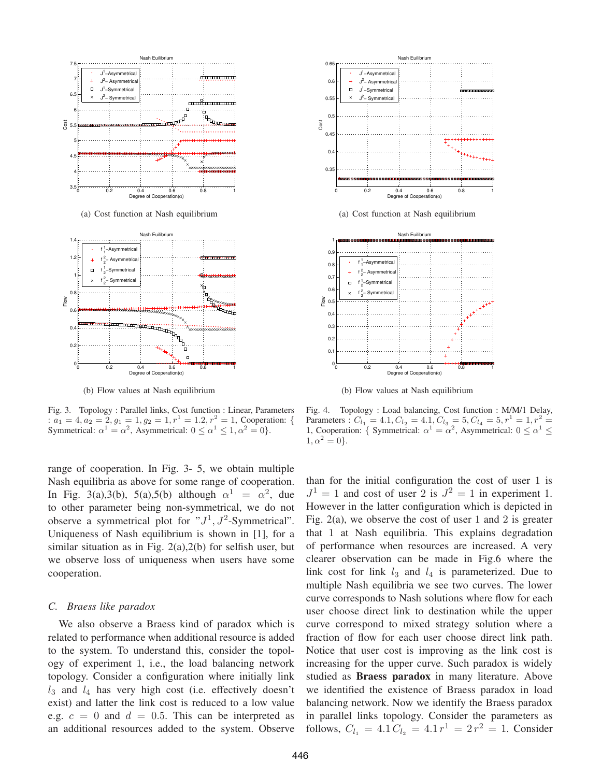

(a) Cost function at Nash equilibrium



(b) Flow values at Nash equilibrium

Fig. 3. Topology : Parallel links, Cost function : Linear, Parameters :  $a_1 = 4, a_2 = 2, g_1 = 1, g_2 = 1, r^1 = 1.2, r^2 = 1$ , Cooperation: { Symmetrical:  $\alpha^1 = \alpha^2$ , Asymmetrical:  $0 \le \alpha^1 \le 1, \alpha^2 = 0$ .

range of cooperation. In Fig. 3- 5, we obtain multiple Nash equilibria as above for some range of cooperation. In Fig. 3(a),3(b), 5(a),5(b) although  $\alpha^1 = \alpha^2$ , due to other parameter being non-symmetrical, we do not observe a symmetrical plot for " $J^1$ ,  $J^2$ -Symmetrical". Uniqueness of Nash equilibrium is shown in [1], for a similar situation as in Fig. 2(a),2(b) for selfish user, but we observe loss of uniqueness when users have some cooperation.

#### *C. Braess like paradox*

We also observe a Braess kind of paradox which is related to performance when additional resource is added to the system. To understand this, consider the topology of experiment 1, i.e., the load balancing network topology. Consider a configuration where initially link  $l_3$  and  $l_4$  has very high cost (i.e. effectively doesn't exist) and latter the link cost is reduced to a low value e.g.  $c = 0$  and  $d = 0.5$ . This can be interpreted as an additional resources added to the system. Observe



(a) Cost function at Nash equilibrium



(b) Flow values at Nash equilibrium

Fig. 4. Topology : Load balancing, Cost function : M/M/1 Delay, Parameters :  $C_{l_1} = 4.1, C_{l_2} = 4.1, C_{l_3} = 5, C_{l_4} = 5, r^1 = 1, r^2 =$ 1, Cooperation: { Symmetrical:  $\alpha^1 = \alpha^2$ , Asymmetrical:  $0 \le \alpha^1 \le$  $1, \alpha^2 = 0$ .

than for the initial configuration the cost of user 1 is  $J^1 = 1$  and cost of user 2 is  $J^2 = 1$  in experiment 1. However in the latter configuration which is depicted in Fig. 2(a), we observe the cost of user 1 and 2 is greater that 1 at Nash equilibria. This explains degradation of performance when resources are increased. A very clearer observation can be made in Fig.6 where the link cost for link  $l_3$  and  $l_4$  is parameterized. Due to multiple Nash equilibria we see two curves. The lower curve corresponds to Nash solutions where flow for each user choose direct link to destination while the upper curve correspond to mixed strategy solution where a fraction of flow for each user choose direct link path. Notice that user cost is improving as the link cost is increasing for the upper curve. Such paradox is widely studied as **Braess paradox** in many literature. Above we identified the existence of Braess paradox in load balancing network. Now we identify the Braess paradox in parallel links topology. Consider the parameters as follows,  $C_{l_1} = 4.1 C_{l_2} = 4.1 r^1 = 2 r^2 = 1$ . Consider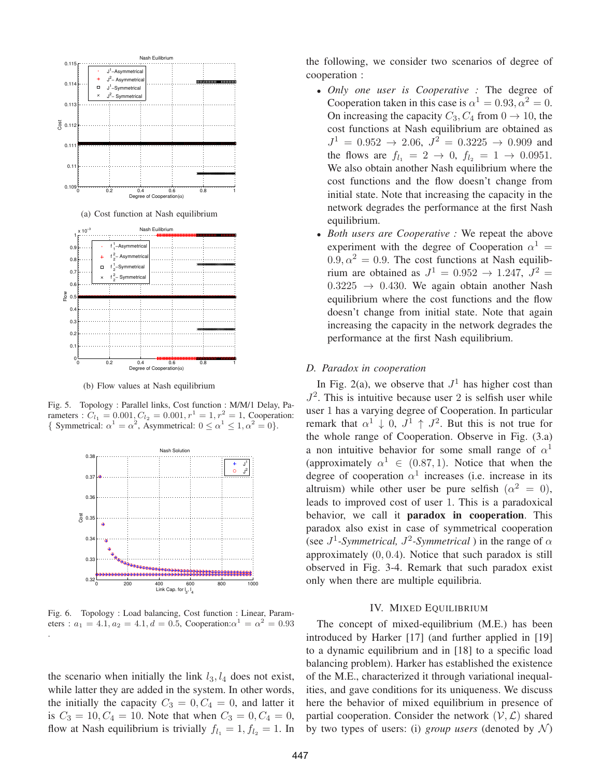

(b) Flow values at Nash equilibrium

Fig. 5. Topology : Parallel links, Cost function : M/M/1 Delay, Parameters :  $C_{l_1} = 0.001, C_{l_2} = 0.001, r^1 = 1, r^2 = 1$ , Cooperation: { Symmetrical:  $\alpha^1 = \alpha^2$ , Asymmetrical:  $0 \le \alpha^1 \le 1, \alpha^2 = 0$ }.



Fig. 6. Topology : Load balancing, Cost function : Linear, Parameters :  $a_1 = 4.1, a_2 = 4.1, d = 0.5$ , Cooperation: $\alpha^1 = \alpha^2 = 0.93$ .

the scenario when initially the link  $l_3$ ,  $l_4$  does not exist, while latter they are added in the system. In other words, the initially the capacity  $C_3 = 0, C_4 = 0$ , and latter it is  $C_3 = 10, C_4 = 10$ . Note that when  $C_3 = 0, C_4 = 0$ , flow at Nash equilibrium is trivially  $f_{l_1} = 1, f_{l_2} = 1$ . In the following, we consider two scenarios of degree of cooperation :

- *Only one user is Cooperative :* The degree of Cooperation taken in this case is  $\alpha^1 = 0.93, \alpha^2 = 0$ . On increasing the capacity  $C_3$ ,  $C_4$  from  $0 \rightarrow 10$ , the cost functions at Nash equilibrium are obtained as  $J^1 = 0.952 \rightarrow 2.06, J^2 = 0.3225 \rightarrow 0.909$  and the flows are  $f_{l_1} = 2 \rightarrow 0, f_{l_2} = 1 \rightarrow 0.0951$ . We also obtain another Nash equilibrium where the cost functions and the flow doesn't change from initial state. Note that increasing the capacity in the network degrades the performance at the first Nash equilibrium.
- *Both users are Cooperative :* We repeat the above experiment with the degree of Cooperation  $\alpha^1$  =  $0.9, \alpha^2 = 0.9$ . The cost functions at Nash equilibrium are obtained as  $J^1 = 0.952 \rightarrow 1.247$ ,  $J^2 =$  $0.3225 \rightarrow 0.430$ . We again obtain another Nash equilibrium where the cost functions and the flow doesn't change from initial state. Note that again increasing the capacity in the network degrades the performance at the first Nash equilibrium.

#### *D. Paradox in cooperation*

In Fig. 2(a), we observe that  $J^1$  has higher cost than  $J^2$ . This is intuitive because user 2 is selfish user while user 1 has a varying degree of Cooperation. In particular remark that  $\alpha^1 \downarrow 0$ ,  $J^1 \uparrow J^2$ . But this is not true for the whole range of Cooperation. Observe in Fig. (3.a) a non intuitive behavior for some small range of  $\alpha$ <sup>1</sup> (approximately  $\alpha^1 \in (0.87, 1)$ ). Notice that when the degree of cooperation  $\alpha^1$  increases (i.e. increase in its altruism) while other user be pure selfish  $(\alpha^2 = 0)$ , leads to improved cost of user 1. This is a paradoxical behavior, we call it **paradox in cooperation**. This paradox also exist in case of symmetrical cooperation (see  $J^1$ -*Symmetrical,*  $J^2$ -*Symmetrical*) in the range of  $\alpha$ approximately  $(0, 0.4)$ . Notice that such paradox is still observed in Fig. 3-4. Remark that such paradox exist only when there are multiple equilibria.

#### IV. MIXED EQUILIBRIUM

The concept of mixed-equilibrium (M.E.) has been introduced by Harker [17] (and further applied in [19] to a dynamic equilibrium and in [18] to a specific load balancing problem). Harker has established the existence of the M.E., characterized it through variational inequalities, and gave conditions for its uniqueness. We discuss here the behavior of mixed equilibrium in presence of partial cooperation. Consider the network  $(\mathcal{V}, \mathcal{L})$  shared by two types of users: (i) *group users* (denoted by  $\mathcal{N}$ )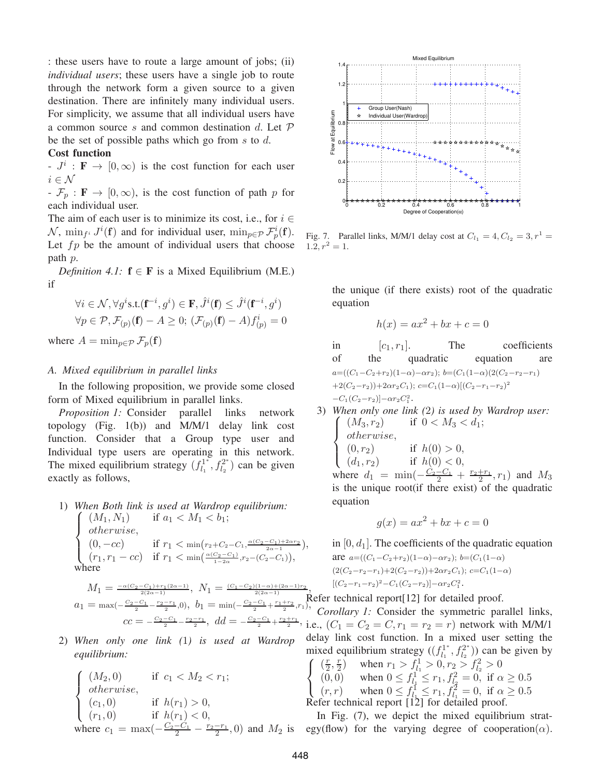: these users have to route a large amount of jobs; (ii) *individual users*; these users have a single job to route through the network form a given source to a given destination. There are infinitely many individual users. For simplicity, we assume that all individual users have a common source s and common destination d. Let  $\mathcal P$ be the set of possible paths which go from  $s$  to  $d$ .

#### **Cost function**

 $-J^i$ : **F**  $\rightarrow$  [0,  $\infty$ ) is the cost function for each user  $i \in \mathcal{N}$ 

 $-F_p : \mathbf{F} \to [0, \infty)$ , is the cost function of path p for each individual user.

The aim of each user is to minimize its cost, i.e., for  $i \in$  $\mathcal{N}$ ,  $\min_{f^i} J^i(\mathbf{f})$  and for individual user,  $\min_{p \in \mathcal{P}} \mathcal{F}_p^i(\mathbf{f})$ . Let  $fp$  be the amount of individual users that choose path p.

*Definition 4.1:*  $f \in F$  is a Mixed Equilibrium (M.E.) if

$$
\forall i \in \mathcal{N}, \forall g^i s.t. (\mathbf{f}^{-i}, g^i) \in \mathbf{F}, \hat{J}^i(\mathbf{f}) \leq \hat{J}^i(\mathbf{f}^{-i}, g^i)
$$

$$
\forall p \in \mathcal{P}, \mathcal{F}_{(p)}(\mathbf{f}) - A \geq 0; \ (\mathcal{F}_{(p)}(\mathbf{f}) - A) f^i_{(p)} = 0
$$

where  $A = \min_{p \in \mathcal{P}} \mathcal{F}_p(\mathbf{f})$ 

#### *A. Mixed equilibrium in parallel links*

In the following proposition, we provide some closed form of Mixed equilibrium in parallel links.

*Proposition 1:* Consider parallel links network topology (Fig. 1(b)) and M/M/1 delay link cost function. Consider that a Group type user and Individual type users are operating in this network. The mixed equilibrium strategy  $(f_{l_1}^{1^*}, f_{l_2}^{2^*})$  can be given exactly as follows,

#### 1) *When Both link is used at Wardrop equilibrium:*  $\sqrt{ }$  $\int$  $\overline{\mathcal{L}}$  $(M_1, N_1)$  if  $a_1 < M_1 < b_1$ ; otherwise,  $(0, -cc)$  if  $r_1 < \min(r_2 + C_2 - C_1, \frac{\alpha(C_2 - C_1) + 2\alpha r_2}{2\alpha - 1}),$  $(r_1, r_1 - cc)$  if  $r_1 < \min(\frac{\alpha(C_2 - C_1)}{1 - 2\alpha}, r_2 - (C_2 - C_1)),$ where

$$
\begin{array}{l} M_1=\frac{-\alpha(C_2-C_1)+r_1(2\alpha-1)}{2(2\alpha-1)}, \ N_1=\frac{(C_1-C_2)(1-\alpha)+(2\alpha-1)r_2}{2(2\alpha-1)},\\ a_1=\max(-\frac{C_2-C_1}{2}-\frac{r_2-r_1}{2},0), \ b_1=\min(-\frac{C_2-C_1}{2}+\frac{r_1+r_2}{2},r_1),\\ cc=-\frac{C_2-C_1}{2}-\frac{r_2-r_1}{2}, \ dd=-\frac{C_2-C_1}{2}+\frac{r_2+r_1}{2}, \ \frac{1}{1}. \end{array}
$$

2) *When only one link (*1*) is used at Wardrop equilibrium:*

$$
\begin{cases}\n(M_2, 0) & \text{if } c_1 < M_2 < r_1; \\
otherwise, & \\
(c_1, 0) & \text{if } h(r_1) > 0, \\
(r_1, 0) & \text{if } h(r_1) < 0, \\
where c_1 = \max(-\frac{C_2 - C_1}{2} - \frac{r_2 - r_1}{2}, 0) \text{ and } M_2 \text{ is}\n\end{cases}
$$



Fig. 7. Parallel links, M/M/1 delay cost at  $C_{l_1} = 4, C_{l_2} = 3, r^1 =$  $1.2, r^2 = 1.$ 

the unique (if there exists) root of the quadratic equation

$$
h(x) = ax^2 + bx + c = 0
$$

in  $[c_1, r_1]$ . The coefficients of the quadratic equation are  $a=((C_1-C_2+r_2)(1-\alpha)-\alpha r_2); b=(C_1(1-\alpha)(2(C_2-r_2-r_1))$  $+2(C_2-r_2)+2\alpha r_2C_1$ ; c= $C_1(1-\alpha)[(C_2-r_1-r_2)^2]$  $-C_1(C_2-r_2)]-\alpha r_2 C_1^2$ .

3) *When only one link (* 2*) is used by Wardrop user:*  $\sqrt{ }$  $\int$  $\overline{\mathcal{L}}$  $(M_3, r_2)$  if  $0 < M_3 < d_1$ ; otherwise,  $(0, r_2)$  if  $h(0) > 0$ ,  $(d_1, r_2)$  if  $h(0) < 0$ , where  $d_1 = \min(-\frac{C_2 - C_1}{2} + \frac{r_2 + r_1}{2}, r_1)$  and  $M_3$ is the unique root(if there exist) of the quadratic equation

$$
g(x) = ax^2 + bx + c = 0
$$

in  $[0, d_1]$ . The coefficients of the quadratic equation are  $a=((C_1-C_2+r_2)(1-\alpha)-\alpha r_2); b=(C_1(1-\alpha))$  $(2(C_2-r_2-r_1)+2(C_2-r_2))+2\alpha r_2C_1); c=C_1(1-\alpha)$  $[(C_2-r_1-r_2)^2-C_1(C_2-r_2)]-\alpha r_2 C_1^2.$ 

Refer technical report[12] for detailed proof.

*Corollary 1:* Consider the symmetric parallel links, i.e.,  $(C_1 = C_2 = C, r_1 = r_2 = r)$  network with M/M/1. delay link cost function. In a mixed user setting the mixed equilibrium strategy  $((f_{l_1}^{1*}, f_{l_2}^{2*}))$  can be given by

 $\sqrt{ }$  $\left\vert \right\vert$  $\mathcal{L}$  $(\frac{r}{2}, \frac{r}{2})$  when  $r_1 > f_{l_1}^1 > 0, r_2 > f_{l_2}^2 > 0$ (0, 0) when  $0 \le f_{l_1}^1 \le r_1, f_{l_2}^2 = 0$ , if  $\alpha \ge 0.5$  $(r, r)$  when  $0 \le f_{l_1}^1 \le r_1, f_{l_1}^2 = 0$ , if  $\alpha \ge 0.5$ Refer technical report [12] for detailed proof.

In Fig.  $(7)$ , we depict the mixed equilibrium stratis egy(flow) for the varying degree of cooperation( $\alpha$ ).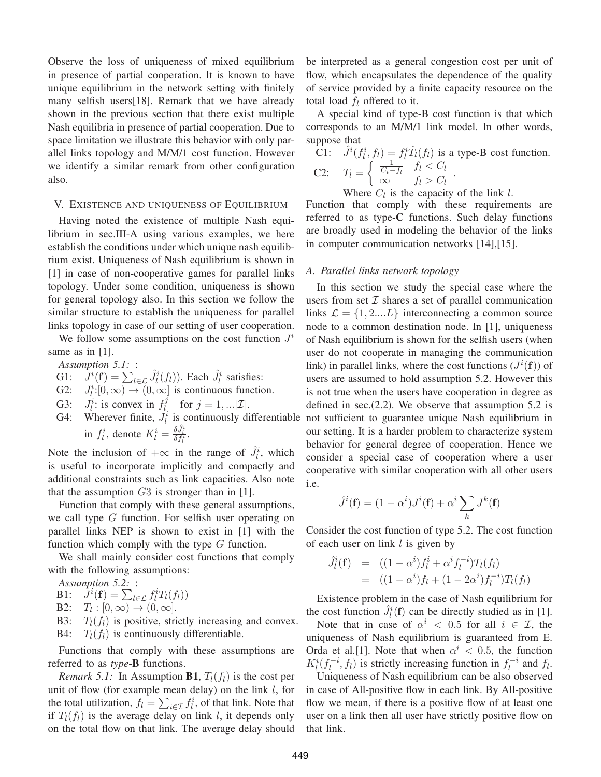Observe the loss of uniqueness of mixed equilibrium in presence of partial cooperation. It is known to have unique equilibrium in the network setting with finitely many selfish users[18]. Remark that we have already shown in the previous section that there exist multiple Nash equilibria in presence of partial cooperation. Due to space limitation we illustrate this behavior with only parallel links topology and M/M/1 cost function. However we identify a similar remark from other configuration also.

#### V. EXISTENCE AND UNIQUENESS OF EQUILIBRIUM

Having noted the existence of multiple Nash equilibrium in sec.III-A using various examples, we here establish the conditions under which unique nash equilibrium exist. Uniqueness of Nash equilibrium is shown in [1] in case of non-cooperative games for parallel links topology. Under some condition, uniqueness is shown for general topology also. In this section we follow the similar structure to establish the uniqueness for parallel links topology in case of our setting of user cooperation.

We follow some assumptions on the cost function  $J^i$ same as in [1].

*Assumption 5.1:* :

- G1:  $\hat{J}^i(\mathbf{f}) = \sum_{l \in \mathcal{L}} \hat{J}^i_l(f_l)$ ). Each  $\hat{J}^i_l$  satisfies:
- G2:  $J_l^i$ : $[0, \infty) \rightarrow (0, \infty]$  is continuous function.
- G3:  $J_l^i$ : is convex in  $f_l^j$  for  $j = 1, ... | \mathcal{I} |$ .
- in  $f_l^i$ , denote  $K_l^i = \frac{\delta \hat{J}_l^i}{\delta f_l^i}$ .

Note the inclusion of  $+\infty$  in the range of  $\hat{J}_l^i$ , which is useful to incorporate implicitly and compactly and additional constraints such as link capacities. Also note that the assumption  $G3$  is stronger than in [1].

Function that comply with these general assumptions, we call type G function. For selfish user operating on parallel links NEP is shown to exist in [1] with the function which comply with the type  $G$  function.

We shall mainly consider cost functions that comply with the following assumptions:

*Assumption 5.2:* :

B1:  $J^i(\mathbf{f}) = \sum_{l \in \mathcal{L}} f_l^i T_l(f_l)$ 

B2:  $T_l : [0, \infty) \to (0, \infty]$ .

B3:  $T_l(f_l)$  is positive, strictly increasing and convex. B4:  $T_l(f_l)$  is continuously differentiable.

Functions that comply with these assumptions are referred to as *type*-**B** functions.

*Remark 5.1:* In Assumption **B1**,  $T_l(f_l)$  is the cost per unit of flow (for example mean delay) on the link  $l$ , for the total utilization,  $f_l = \sum_{i \in \mathcal{I}} f_l^i$ , of that link. Note that if  $T_l(f_l)$  is the average delay on link l, it depends only on the total flow on that link. The average delay should be interpreted as a general congestion cost per unit of flow, which encapsulates the dependence of the quality of service provided by a finite capacity resource on the total load  $f_l$  offered to it.

A special kind of type-B cost function is that which corresponds to an M/M/1 link model. In other words, suppose that

$$
\begin{array}{ll}\n\widetilde{C}1: & \hat{J}^i(f_l^i, f_l) = f_l^i \dot{T}_l(f_l) \text{ is a type-B cost function.} \\
C2: & T_l = \left\{ \begin{array}{ll} \frac{1}{C_l - f_l} & f_l < C_l \\
\infty & f_l > C_l \end{array} \right. .\n\end{array}
$$

Where  $C_l$  is the capacity of the link l. Function that comply with these requirements are

referred to as type-**C** functions. Such delay functions are broadly used in modeling the behavior of the links in computer communication networks [14],[15].

#### *A. Parallel links network topology*

G4: Wherever finite,  $J_l^i$  is continuously differentiable not sufficient to guarantee unique Nash equilibrium in In this section we study the special case where the users from set  $I$  shares a set of parallel communication links  $\mathcal{L} = \{1, 2,...L\}$  interconnecting a common source node to a common destination node. In [1], uniqueness of Nash equilibrium is shown for the selfish users (when user do not cooperate in managing the communication link) in parallel links, where the cost functions  $(J^{i}(f))$  of users are assumed to hold assumption 5.2. However this is not true when the users have cooperation in degree as defined in sec.(2.2). We observe that assumption 5.2 is our setting. It is a harder problem to characterize system behavior for general degree of cooperation. Hence we consider a special case of cooperation where a user cooperative with similar cooperation with all other users i.e.

$$
\hat{J}^i(\mathbf{f}) = (1 - \alpha^i) J^i(\mathbf{f}) + \alpha^i \sum_k J^k(\mathbf{f})
$$

Consider the cost function of type 5.2. The cost function of each user on link  $l$  is given by

$$
\hat{J}_l^i(\mathbf{f}) = ((1 - \alpha^i) f_l^i + \alpha^i f_l^{-i}) T_l(f_l) \n= ((1 - \alpha^i) f_l + (1 - 2\alpha^i) f_l^{-i}) T_l(f_l)
$$

Existence problem in the case of Nash equilibrium for the cost function  $\hat{J}_l^i(\mathbf{f})$  can be directly studied as in [1].

Note that in case of  $\alpha^i$  < 0.5 for all  $i \in \mathcal{I}$ , the uniqueness of Nash equilibrium is guaranteed from E. Orda et al.[1]. Note that when  $\alpha^i$  < 0.5, the function  $K_l^i(f_l^{-i}, f_l)$  is strictly increasing function in  $f_l^{-i}$  and  $f_l$ .

Uniqueness of Nash equilibrium can be also observed in case of All-positive flow in each link. By All-positive flow we mean, if there is a positive flow of at least one user on a link then all user have strictly positive flow on that link.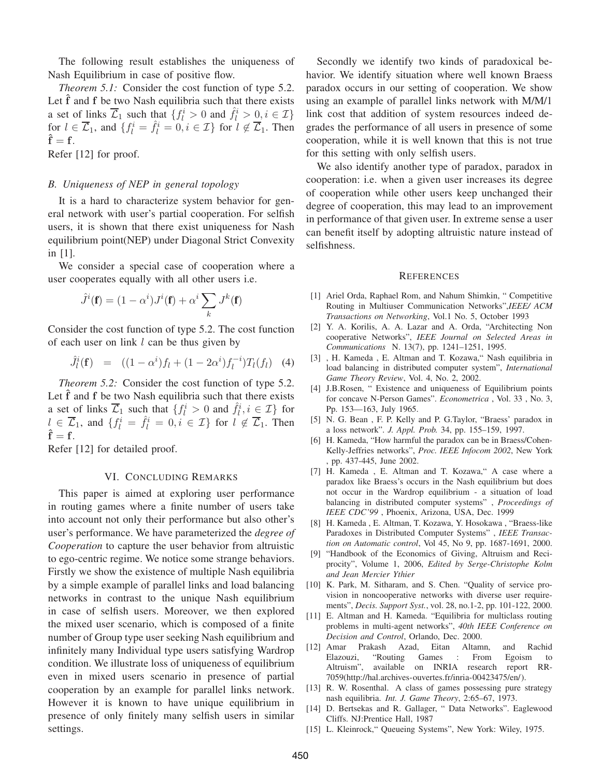The following result establishes the uniqueness of Nash Equilibrium in case of positive flow.

*Theorem 5.1:* Consider the cost function of type 5.2. Let  $\hat{f}$  and  $f$  be two Nash equilibria such that there exists a set of links  $\overline{\mathcal{L}}_1$  such that  $\{f_l^i > 0 \text{ and } \hat{f}_l^i > 0, i \in \mathcal{I}\}\$ for  $l \in \overline{\mathcal{L}}_1$ , and  $\{f_l^i = \hat{f}_l^i = 0, i \in \mathcal{I}\}$  for  $l \notin \overline{\mathcal{L}}_1$ . Then  $\hat{\mathbf{f}} = \mathbf{f}$ .

Refer [12] for proof.

## *B. Uniqueness of NEP in general topology*

It is a hard to characterize system behavior for general network with user's partial cooperation. For selfish users, it is shown that there exist uniqueness for Nash equilibrium point(NEP) under Diagonal Strict Convexity in [1].

We consider a special case of cooperation where a user cooperates equally with all other users i.e.

$$
\hat{J}^i(\mathbf{f}) = (1 - \alpha^i) J^i(\mathbf{f}) + \alpha^i \sum_k J^k(\mathbf{f})
$$

Consider the cost function of type 5.2. The cost function of each user on link  $l$  can be thus given by

$$
\hat{J}_l^i(\mathbf{f}) = ((1 - \alpha^i) f_l + (1 - 2\alpha^i) f_l^{-i}) T_l(f_l) \quad (4)
$$

*Theorem 5.2:* Consider the cost function of type 5.2. Let  $\hat{f}$  and  $f$  be two Nash equilibria such that there exists a set of links  $\overline{\mathcal{L}}_1$  such that  $\{f_l^i > 0 \text{ and } \hat{f}_l^i, i \in \mathcal{I}\}\$ for  $l \in \overline{\mathcal{L}}_1$ , and  $\{f_l^i = \hat{f}_l^i = 0, i \in \mathcal{I}\}$  for  $l \notin \overline{\mathcal{L}}_1$ . Then  $\hat{\mathbf{f}} = \mathbf{f}$ .

Refer [12] for detailed proof.

## VI. CONCLUDING REMARKS

This paper is aimed at exploring user performance in routing games where a finite number of users take into account not only their performance but also other's user's performance. We have parameterized the *degree of Cooperation* to capture the user behavior from altruistic to ego-centric regime. We notice some strange behaviors. Firstly we show the existence of multiple Nash equilibria by a simple example of parallel links and load balancing networks in contrast to the unique Nash equilibrium in case of selfish users. Moreover, we then explored the mixed user scenario, which is composed of a finite number of Group type user seeking Nash equilibrium and infinitely many Individual type users satisfying Wardrop condition. We illustrate loss of uniqueness of equilibrium even in mixed users scenario in presence of partial cooperation by an example for parallel links network. However it is known to have unique equilibrium in presence of only finitely many selfish users in similar settings.

Secondly we identify two kinds of paradoxical behavior. We identify situation where well known Braess paradox occurs in our setting of cooperation. We show using an example of parallel links network with M/M/1 link cost that addition of system resources indeed degrades the performance of all users in presence of some cooperation, while it is well known that this is not true for this setting with only selfish users.

We also identify another type of paradox, paradox in cooperation: i.e. when a given user increases its degree of cooperation while other users keep unchanged their degree of cooperation, this may lead to an improvement in performance of that given user. In extreme sense a user can benefit itself by adopting altruistic nature instead of selfishness.

#### **REFERENCES**

- [1] Ariel Orda, Raphael Rom, and Nahum Shimkin, " Competitive Routing in Multiuser Communication Networks",*IEEE/ ACM Transactions on Networking*, Vol.1 No. 5, October 1993
- [2] Y. A. Korilis, A. A. Lazar and A. Orda, "Architecting Non cooperative Networks", *IEEE Journal on Selected Areas in Communications* N. 13(7), pp. 1241–1251, 1995.
- [3] , H. Kameda , E. Altman and T. Kozawa," Nash equilibria in load balancing in distributed computer system", *International Game Theory Review*, Vol. 4, No. 2, 2002.
- [4] J.B.Rosen, " Existence and uniqueness of Equilibrium points for concave N-Person Games". *Econometrica* , Vol. 33 , No. 3, Pp. 153—163, July 1965.
- [5] N. G. Bean , F. P. Kelly and P. G.Taylor, "Braess' paradox in a loss network". *J. Appl. Prob.* 34, pp. 155–159, 1997.
- [6] H. Kameda, "How harmful the paradox can be in Braess/Cohen-Kelly-Jeffries networks", *Proc. IEEE Infocom 2002*, New York , pp. 437-445, June 2002.
- [7] H. Kameda , E. Altman and T. Kozawa," A case where a paradox like Braess's occurs in the Nash equilibrium but does not occur in the Wardrop equilibrium - a situation of load balancing in distributed computer systems" , *Proceedings of IEEE CDC'99* , Phoenix, Arizona, USA, Dec. 1999
- [8] H. Kameda , E. Altman, T. Kozawa, Y. Hosokawa , "Braess-like Paradoxes in Distributed Computer Systems" , *IEEE Transaction on Automatic control*, Vol 45, No 9, pp. 1687-1691, 2000.
- [9] "Handbook of the Economics of Giving, Altruism and Reciprocity", Volume 1, 2006, *Edited by Serge-Christophe Kolm and Jean Mercier Ythier*
- [10] K. Park, M. Sitharam, and S. Chen. "Quality of service provision in noncooperative networks with diverse user requirements", *Decis. Support Syst.*, vol. 28, no.1-2, pp. 101-122, 2000.
- [11] E. Altman and H. Kameda. "Equilibria for multiclass routing problems in multi-agent networks", *40th IEEE Conference on Decision and Control*, Orlando, Dec. 2000.
- [12] Amar Prakash Azad, Eitan Altamn, and Rachid Elazouzi, "Routing Games : From Egoism to Altruism", available on INRIA research report RR-7059(http://hal.archives-ouvertes.fr/inria-00423475/en/).
- [13] R. W. Rosenthal. A class of games possessing pure strategy nash equilibria. *Int. J. Game Theory*, 2:65–67, 1973.
- [14] D. Bertsekas and R. Gallager, " Data Networks". Eaglewood Cliffs. NJ:Prentice Hall, 1987
- [15] L. Kleinrock," Queueing Systems", New York: Wiley, 1975.